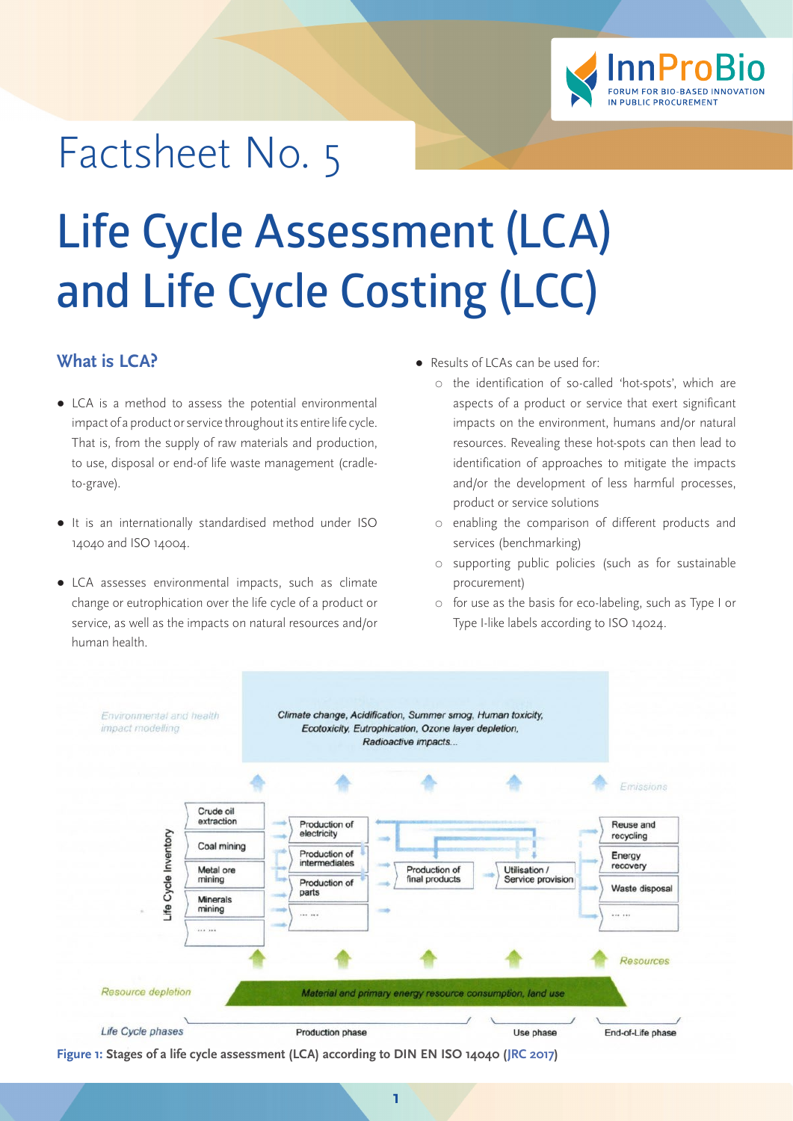

## Factsheet No. 5

# **Life Cycle Assessment (LCA) and Life Cycle Costing (LCC)**

#### **What is LCA?**

- LCA is a method to assess the potential environmental impact of a product or service throughout its entire life cycle. That is, from the supply of raw materials and production, to use, disposal or end-of life waste management (cradleto-grave).
- It is an internationally standardised method under ISO 14040 and ISO 14004.
- LCA assesses environmental impacts, such as climate change or eutrophication over the life cycle of a product or service, as well as the impacts on natural resources and/or human health.
- Results of LCAs can be used for:
	- [the identification of so-called 'hot-spots', which are](https://ic.fsc.org/en)  [aspects of a product or service that exert significant](https://ic.fsc.org/en)  [impacts on the environment, humans and/or natural](https://ic.fsc.org/en)  [resources. Revealing these hot-spots can then lead to](https://ic.fsc.org/en)  [identification of approaches to mitigate the impacts](https://ic.fsc.org/en)  [and/or the development of less harmful processes,](https://ic.fsc.org/en)  [product or service solutions](https://ic.fsc.org/en)
	- [enabling the comparison of different products and](https://ic.fsc.org/en)  [services \(benchmarking\)](https://ic.fsc.org/en)
	- [supporting public policies \(such as for sustainable](https://ic.fsc.org/en)  [procurement\)](https://ic.fsc.org/en)
	- [for use as the basis for eco-labeling, such as Type I or](https://ic.fsc.org/en)  [Type I-like labels according to ISO 14024.](https://ic.fsc.org/en)

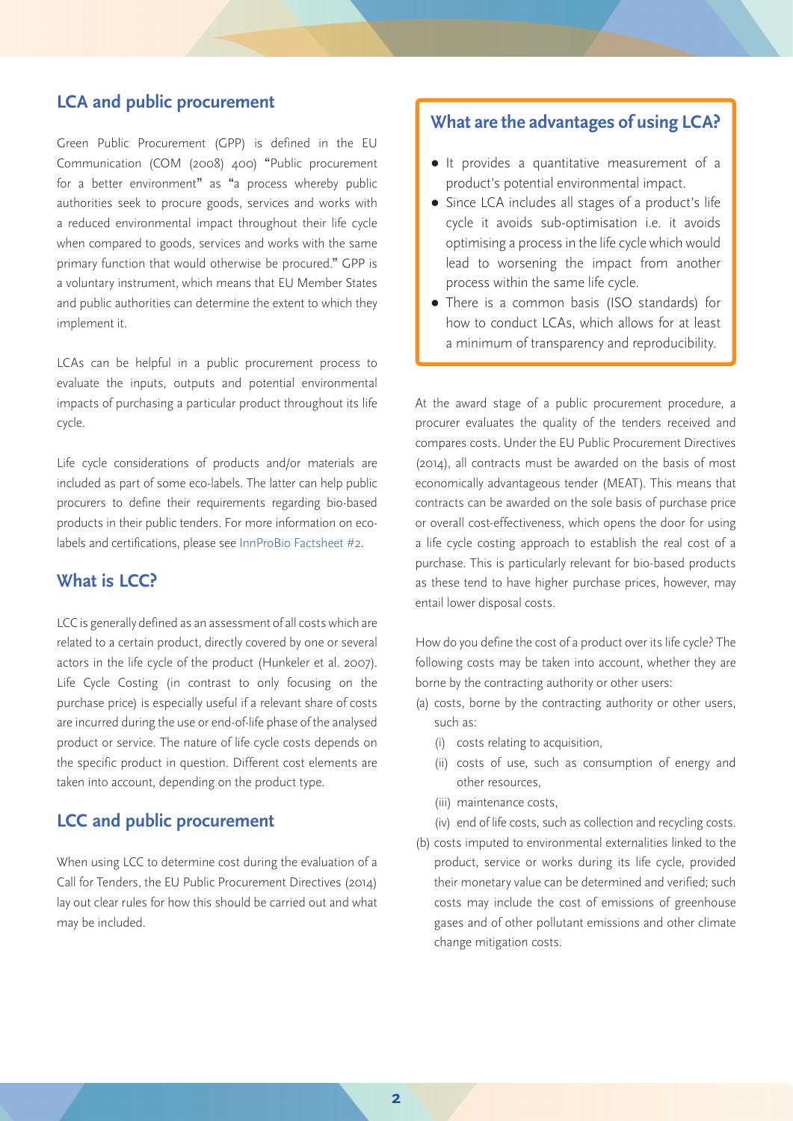#### **LCA and public procurement**

Green Public Procurement (GPP) is defined in the EU Communication (COM (2008) 400) "Public procurement for a better environment" as "a process whereby public authorities seek to procure goods, services and works with a reduced environmental impact throughout their life cycle when compared to goods, services and works with the same primary function that would otherwise be procured." GPP is a voluntary instrument, which means that EU Member States and public authorities can determine the extent to which they implement it.

LCAs can be helpful in a public procurement process to evaluate the inputs, outputs and potential environmental impacts of purchasing a particular product throughout its life cycle.

Life cycle considerations of products and/or materials are included as part of some eco-labels. The latter can help public procurers to define their requirements regarding bio-based products in their public tenders. For more information on ecolabels and certifications, please see [InnProBio Factsheet #2.](http://innprobio.innovation-procurement.org/fileadmin/user_upload/Factsheets/Factsheet_n_2.pdf)

#### **What is LCC?**

LCC is generally defined as an assessment of all costs which are related to a certain product, directly covered by one or several actors in the life cycle of the product (Hunkeler et al. 2007). Life Cycle Costing (in contrast to only focusing on the purchase price) is especially useful if a relevant share of costs are incurred during the use or end-of-life phase of the analysed product or service. The nature of life cycle costs depends on the specific product in question. Different cost elements are taken into account, depending on the product type.

#### **LCC and public procurement**

When using LCC to determine cost during the evaluation of a Call for Tenders, the EU Public Procurement Directives (2014) lay out clear rules for how this should be carried out and what may be included.

#### **What are the advantages of using LCA?**

- It provides a quantitative measurement of a product's potential environmental impact.
- Since LCA includes all stages of a product's life cycle it avoids sub-optimisation i.e. it avoids optimising a process in the life cycle which would lead to worsening the impact from another process within the same life cycle.
- There is a common basis (ISO standards) for how to conduct LCAs, which allows for at least a minimum of transparency and reproducibility.

At the award stage of a public procurement procedure, a procurer evaluates the quality of the tenders received and compares costs. Under the EU Public Procurement Directives (2014), all contracts must be awarded on the basis of most economically advantageous tender (MEAT). This means that contracts can be awarded on the sole basis of purchase price or overall cost-effectiveness, which opens the door for using a life cycle costing approach to establish the real cost of a purchase. This is particularly relevant for bio-based products as these tend to have higher purchase prices, however, may entail lower disposal costs.

How do you define the cost of a product over its life cycle? The following costs may be taken into account, whether they are borne by the contracting authority or other users:

- (a) costs, borne by the contracting authority or other users, such as:
	- (i) costs relating to acquisition,
	- (ii) costs of use, such as consumption of energy and other resources,
	- (iii) maintenance costs,
	- (iv) end of life costs, such as collection and recycling costs.
- (b) costs imputed to environmental externalities linked to the product, service or works during its life cycle, provided their monetary value can be determined and verified; such costs may include the cost of emissions of greenhouse gases and of other pollutant emissions and other climate change mitigation costs.